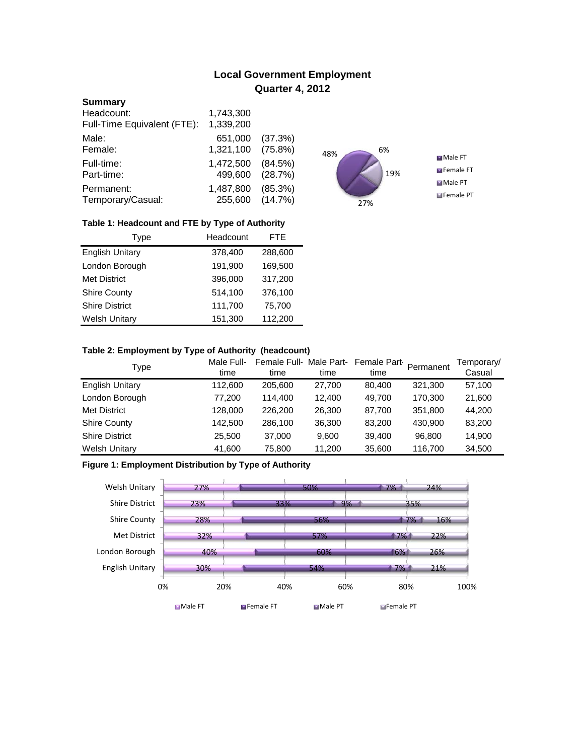# **Local Government Employment Quarter 4, 2012**

#### **Summary**

| Headcount:                  | 1,743,300 |            |
|-----------------------------|-----------|------------|
| Full-Time Equivalent (FTE): | 1,339,200 |            |
| Male:                       | 651,000   | (37.3%)    |
| Female:                     | 1,321,100 | $(75.8\%)$ |
| Full-time:                  | 1,472,500 | (84.5%)    |
| Part-time:                  | 499,600   | (28.7%)    |
| Permanent:                  | 1,487,800 | (85.3%)    |
| Temporary/Casual:           | 255,600   | (14.7%)    |



## **Table 1: Headcount and FTE by Type of Authority**

| Type                   | Headcount |         |
|------------------------|-----------|---------|
| <b>English Unitary</b> | 378,400   | 288,600 |
| London Borough         | 191,900   | 169,500 |
| <b>Met District</b>    | 396,000   | 317,200 |
| <b>Shire County</b>    | 514,100   | 376,100 |
| <b>Shire District</b>  | 111,700   | 75,700  |
| <b>Welsh Unitary</b>   | 151,300   | 112,200 |

## **Table 2: Employment by Type of Authority (headcount)**

| Type                   | Male Full-<br>time | Female Full-Male Part-<br>time | time   | Female Part<br>time | Permanent | Temporary/<br>Casual |
|------------------------|--------------------|--------------------------------|--------|---------------------|-----------|----------------------|
| <b>English Unitary</b> | 112,600            | 205,600                        | 27,700 | 80.400              | 321,300   | 57,100               |
| London Borough         | 77,200             | 114.400                        | 12.400 | 49.700              | 170,300   | 21,600               |
| <b>Met District</b>    | 128,000            | 226,200                        | 26,300 | 87,700              | 351,800   | 44,200               |
| <b>Shire County</b>    | 142,500            | 286,100                        | 36,300 | 83,200              | 430,900   | 83,200               |
| <b>Shire District</b>  | 25,500             | 37,000                         | 9.600  | 39,400              | 96.800    | 14,900               |
| <b>Welsh Unitary</b>   | 41,600             | 75,800                         | 11,200 | 35,600              | 116,700   | 34,500               |

# **Figure 1: Employment Distribution by Type of Authority**